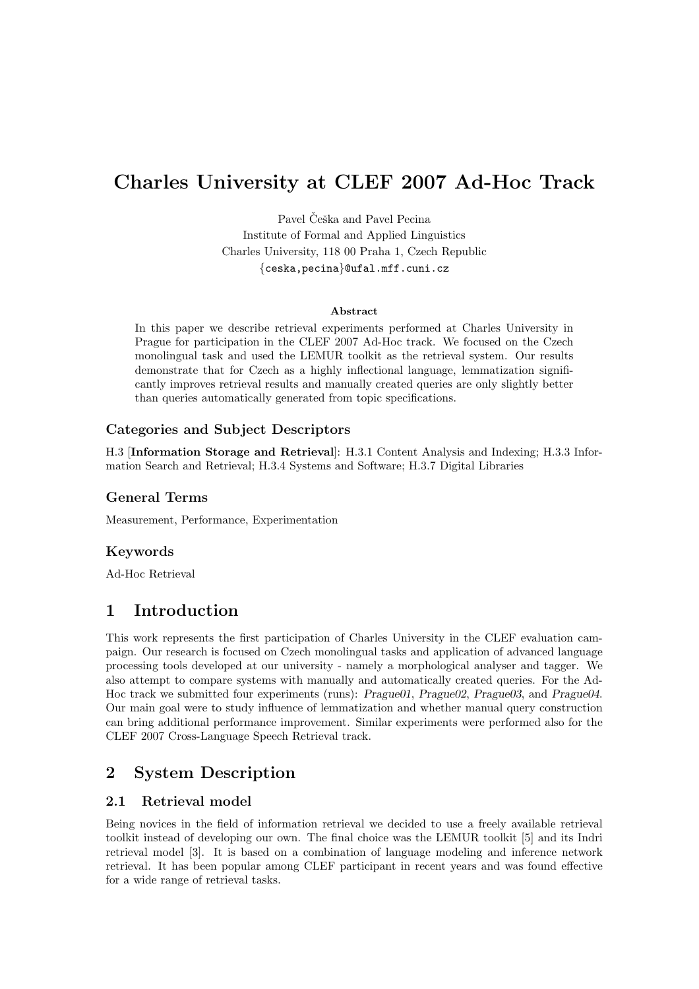# Charles University at CLEF 2007 Ad-Hoc Track

Pavel Češka and Pavel Pecina Institute of Formal and Applied Linguistics Charles University, 118 00 Praha 1, Czech Republic {ceska,pecina}@ufal.mff.cuni.cz

#### Abstract

In this paper we describe retrieval experiments performed at Charles University in Prague for participation in the CLEF 2007 Ad-Hoc track. We focused on the Czech monolingual task and used the LEMUR toolkit as the retrieval system. Our results demonstrate that for Czech as a highly inflectional language, lemmatization significantly improves retrieval results and manually created queries are only slightly better than queries automatically generated from topic specifications.

### Categories and Subject Descriptors

H.3 [Information Storage and Retrieval]: H.3.1 Content Analysis and Indexing; H.3.3 Information Search and Retrieval; H.3.4 Systems and Software; H.3.7 Digital Libraries

## General Terms

Measurement, Performance, Experimentation

## Keywords

Ad-Hoc Retrieval

## 1 Introduction

This work represents the first participation of Charles University in the CLEF evaluation campaign. Our research is focused on Czech monolingual tasks and application of advanced language processing tools developed at our university - namely a morphological analyser and tagger. We also attempt to compare systems with manually and automatically created queries. For the Ad-Hoc track we submitted four experiments (runs): Prague01, Prague02, Prague03, and Prague04. Our main goal were to study influence of lemmatization and whether manual query construction can bring additional performance improvement. Similar experiments were performed also for the CLEF 2007 Cross-Language Speech Retrieval track.

## 2 System Description

## 2.1 Retrieval model

Being novices in the field of information retrieval we decided to use a freely available retrieval toolkit instead of developing our own. The final choice was the LEMUR toolkit [5] and its Indri retrieval model [3]. It is based on a combination of language modeling and inference network retrieval. It has been popular among CLEF participant in recent years and was found effective for a wide range of retrieval tasks.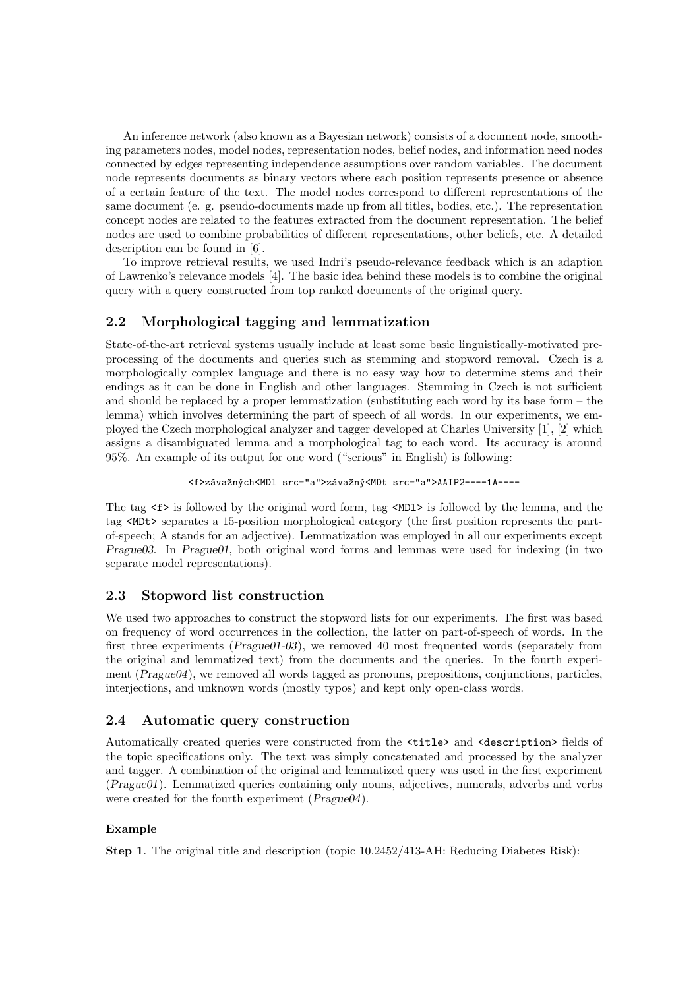An inference network (also known as a Bayesian network) consists of a document node, smoothing parameters nodes, model nodes, representation nodes, belief nodes, and information need nodes connected by edges representing independence assumptions over random variables. The document node represents documents as binary vectors where each position represents presence or absence of a certain feature of the text. The model nodes correspond to different representations of the same document (e. g. pseudo-documents made up from all titles, bodies, etc.). The representation concept nodes are related to the features extracted from the document representation. The belief nodes are used to combine probabilities of different representations, other beliefs, etc. A detailed description can be found in [6].

To improve retrieval results, we used Indri's pseudo-relevance feedback which is an adaption of Lawrenko's relevance models [4]. The basic idea behind these models is to combine the original query with a query constructed from top ranked documents of the original query.

## 2.2 Morphological tagging and lemmatization

State-of-the-art retrieval systems usually include at least some basic linguistically-motivated preprocessing of the documents and queries such as stemming and stopword removal. Czech is a morphologically complex language and there is no easy way how to determine stems and their endings as it can be done in English and other languages. Stemming in Czech is not sufficient and should be replaced by a proper lemmatization (substituting each word by its base form – the lemma) which involves determining the part of speech of all words. In our experiments, we employed the Czech morphological analyzer and tagger developed at Charles University [1], [2] which assigns a disambiguated lemma and a morphological tag to each word. Its accuracy is around 95%. An example of its output for one word ("serious" in English) is following:

```
<f>závažných<MDl src="a">závažný<MDt src="a">AAIP2----1A----
```
The tag  $\leq f$  is followed by the original word form, tag  $\leq MDI$  is followed by the lemma, and the tag <MDt> separates a 15-position morphological category (the first position represents the partof-speech; A stands for an adjective). Lemmatization was employed in all our experiments except Prague03. In Prague01, both original word forms and lemmas were used for indexing (in two separate model representations).

## 2.3 Stopword list construction

We used two approaches to construct the stopword lists for our experiments. The first was based on frequency of word occurrences in the collection, the latter on part-of-speech of words. In the first three experiments (Prague01-03), we removed 40 most frequented words (separately from the original and lemmatized text) from the documents and the queries. In the fourth experiment (*Prague04*), we removed all words tagged as pronouns, prepositions, conjunctions, particles, interjections, and unknown words (mostly typos) and kept only open-class words.

## 2.4 Automatic query construction

Automatically created queries were constructed from the <title> and <description> fields of the topic specifications only. The text was simply concatenated and processed by the analyzer and tagger. A combination of the original and lemmatized query was used in the first experiment (Prague01). Lemmatized queries containing only nouns, adjectives, numerals, adverbs and verbs were created for the fourth experiment (Prague04).

#### Example

Step 1. The original title and description (topic 10.2452/413-AH: Reducing Diabetes Risk):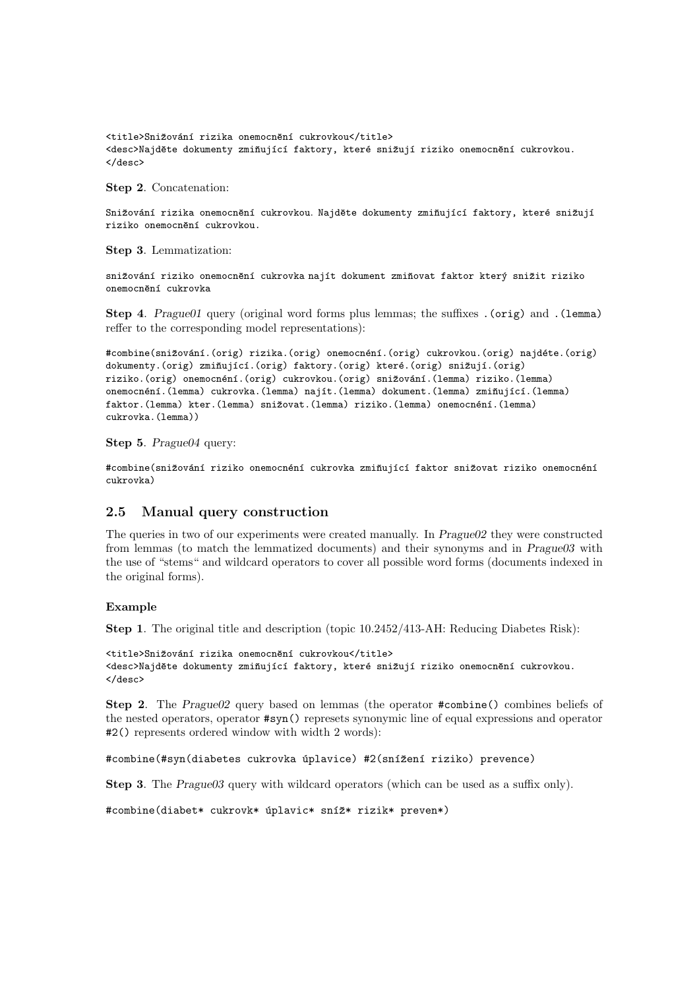<title>Snižování rizika onemocnění cukrovkou</title> <desc>Najděte dokumenty zmiňující faktory, které snižují riziko onemocnění cukrovkou. </desc>

Step 2. Concatenation:

Snižování rizika onemocnění cukrovkou. Najděte dokumenty zmiňující faktory, které snižují riziko onemocnění cukrovkou.

Step 3. Lemmatization:

snižování riziko onemocnění cukrovka najít dokument zmiňovat faktor který snižit riziko onemocnění cukrovka

Step 4. Prague01 query (original word forms plus lemmas; the suffixes .(orig) and .(lemma) reffer to the corresponding model representations):

#combine(snižování.(orig) rizika.(orig) onemocnéní.(orig) cukrovkou.(orig) najdéte.(orig) dokumenty.(orig) zmiňující.(orig) faktory.(orig) které.(orig) snižují.(orig) riziko.(orig) onemocnéní.(orig) cukrovkou.(orig) snižování.(lemma) riziko.(lemma) onemocnéní.(lemma) cukrovka.(lemma) najít.(lemma) dokument.(lemma) zmiňující.(lemma) faktor.(lemma) kter.(lemma) snižovat.(lemma) riziko.(lemma) onemocnéní.(lemma) cukrovka.(lemma))

Step 5. Prague04 query:

#combine(snižování riziko onemocnéní cukrovka zmiňující faktor snižovat riziko onemocnéní cukrovka)

#### 2.5 Manual query construction

The queries in two of our experiments were created manually. In Prague02 they were constructed from lemmas (to match the lemmatized documents) and their synonyms and in Prague03 with the use of "stems" and wildcard operators to cover all possible word forms (documents indexed in the original forms).

#### Example

Step 1. The original title and description (topic 10.2452/413-AH: Reducing Diabetes Risk):

```
<title>Snižování rizika onemocnění cukrovkou</title>
<desc>Najděte dokumenty zmiňující faktory, které snižují riziko onemocnění cukrovkou.
</desc>
```
Step 2. The Prague02 query based on lemmas (the operator #combine() combines beliefs of the nested operators, operator #syn() represets synonymic line of equal expressions and operator #2() represents ordered window with width 2 words):

#combine(#syn(diabetes cukrovka úplavice) #2(snížení riziko) prevence)

Step 3. The Prague03 query with wildcard operators (which can be used as a suffix only).

#combine(diabet\* cukrovk\* úplavic\* sníž\* rizik\* preven\*)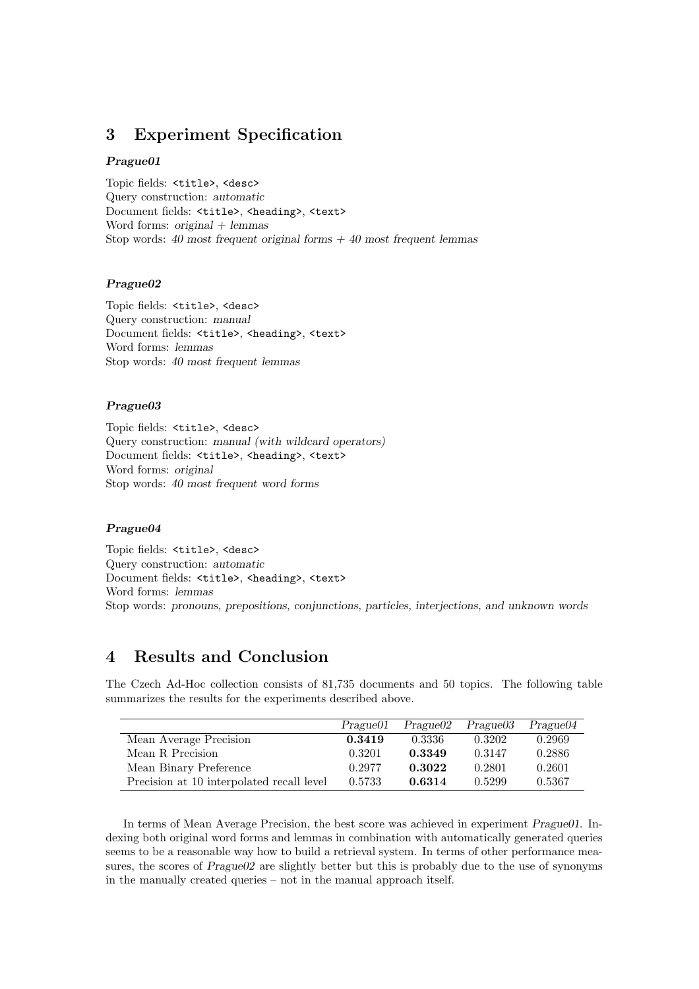## 3 Experiment Specification

#### Prague01

Topic fields: <title>, <desc> Query construction: automatic Document fields: <title>, <heading>, <text> Word forms:  $original + lemmas$ Stop words: 40 most frequent original forms  $+$  40 most frequent lemmas

#### Prague02

Topic fields: <title>, <desc> Query construction: manual Document fields: <title>, <heading>, <text> Word forms: lemmas Stop words: 40 most frequent lemmas

#### Prague03

Topic fields: <title>, <desc> Query construction: manual (with wildcard operators) Document fields: <title>, <heading>, <text> Word forms: original Stop words: 40 most frequent word forms

#### Prague04

Topic fields: <title>, <desc> Query construction: automatic Document fields: <title>, <heading>, <text> Word forms: lemmas Stop words: pronouns, prepositions, conjunctions, particles, interjections, and unknown words

## 4 Results and Conclusion

The Czech Ad-Hoc collection consists of 81,735 documents and 50 topics. The following table summarizes the results for the experiments described above.

|                                           | Praque01 | Prague <sub>02</sub> | Prague03 | Prague04 |
|-------------------------------------------|----------|----------------------|----------|----------|
| Mean Average Precision                    | 0.3419   | 0.3336               | 0.3202   | 0.2969   |
| Mean R Precision                          | 0.3201   | 0.3349               | 0.3147   | 0.2886   |
| Mean Binary Preference                    | 0.2977   | 0.3022               | 0.2801   | 0.2601   |
| Precision at 10 interpolated recall level | 0.5733   | 0.6314               | 0.5299   | 0.5367   |

In terms of Mean Average Precision, the best score was achieved in experiment *Prague01*. Indexing both original word forms and lemmas in combination with automatically generated queries seems to be a reasonable way how to build a retrieval system. In terms of other performance measures, the scores of Prague02 are slightly better but this is probably due to the use of synonyms in the manually created queries – not in the manual approach itself.